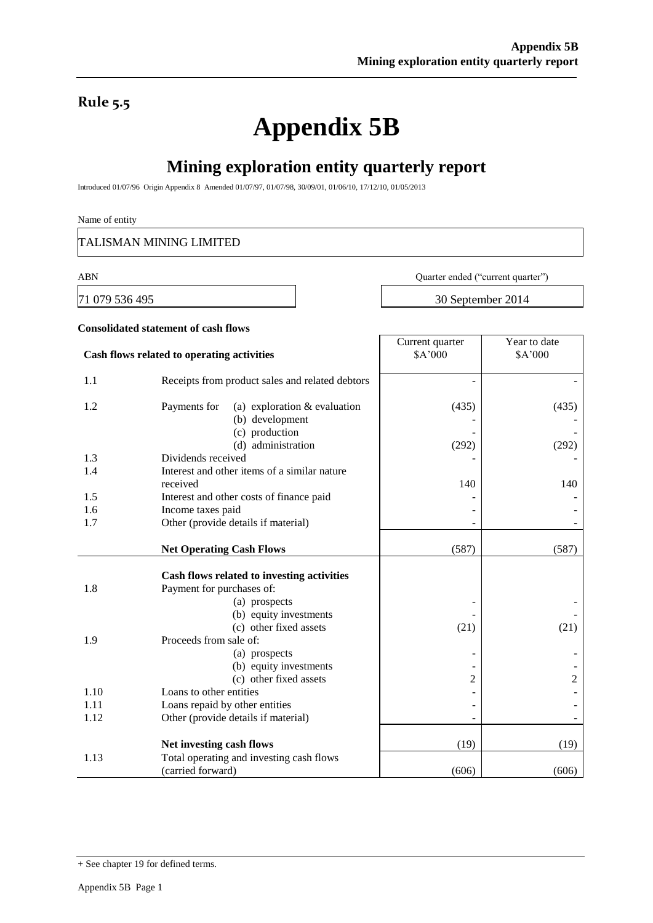### **Rule 5.5**

# **Appendix 5B**

## **Mining exploration entity quarterly report**

Introduced 01/07/96 Origin Appendix 8 Amended 01/07/97, 01/07/98, 30/09/01, 01/06/10, 17/12/10, 01/05/2013

#### Name of entity

TALISMAN MINING LIMITED

**Consolidated statement of cash flows**

ABN Quarter ended ("current quarter")

71 079 536 495 30 September 2014

- -

- - (21)

> - - 2

#### **Cash flows related to operating activities** Current quarter \$A'000 Year to date \$A'000 1.1 Receipts from product sales and related debtors 1.2 Payments for (a) exploration & evaluation (b) development (c) production (d) administration (435) - - (292) (435) (292) 1.3 Dividends received 1.4 Interest and other items of a similar nature received  $140$  140  $140$ 1.5 Interest and other costs of finance paid 1.6 Income taxes paid contains the set of the set of the set of the set of the set of the set of the set of the set of the set of the set of the set of the set of the set of the set of the set of the set of the set of the 1.7 Other (provide details if material) **Net Operating Cash Flows** (587) (587) (587) **Cash flows related to investing activities** 1.8 Payment for purchases of: (a) prospects (b) equity investments (c) other fixed assets - - (21) 1.9 Proceeds from sale of: (a) prospects (b) equity investments (c) other fixed assets - - 2 1.10 Loans to other entities - - 1.11 Loans repaid by other entities  $\blacksquare$ 1.12 Other (provide details if material)  $\qquad$  -**Net investing cash flows** (19) (19) (19) 1.13 Total operating and investing cash flows

(carried forward) (606) (606) (606)

<sup>+</sup> See chapter 19 for defined terms.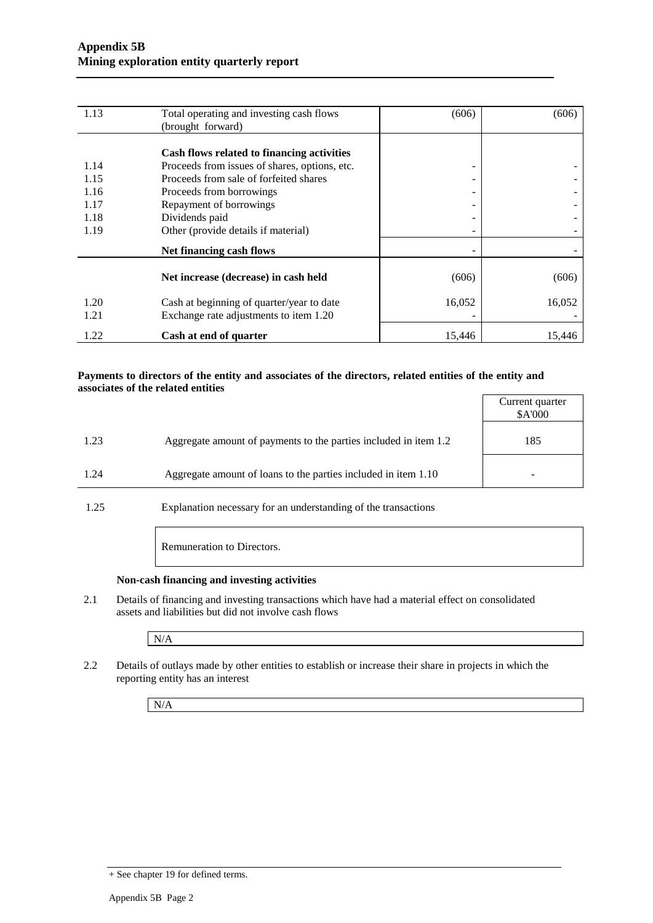| 1.13 | Total operating and investing cash flows      | (606)  | (606)  |
|------|-----------------------------------------------|--------|--------|
|      | (brought forward)                             |        |        |
|      |                                               |        |        |
|      | Cash flows related to financing activities    |        |        |
| 1.14 | Proceeds from issues of shares, options, etc. | -      |        |
| 1.15 | Proceeds from sale of forfeited shares        | -      |        |
| 1.16 | Proceeds from borrowings                      | ۰      |        |
| 1.17 | Repayment of borrowings                       |        |        |
| 1.18 | Dividends paid                                |        |        |
| 1.19 | Other (provide details if material)           |        |        |
|      | Net financing cash flows                      |        |        |
|      |                                               |        |        |
|      | Net increase (decrease) in cash held          | (606)  | (606)  |
| 1.20 | Cash at beginning of quarter/year to date     | 16,052 | 16,052 |
| 1.21 | Exchange rate adjustments to item 1.20        |        |        |
|      |                                               |        |        |
| 1.22 | Cash at end of quarter                        | 15,446 | 15,446 |

#### **Payments to directors of the entity and associates of the directors, related entities of the entity and associates of the related entities**

|      |                                                                  | Current quarter<br>\$A'000 |
|------|------------------------------------------------------------------|----------------------------|
| 1.23 | Aggregate amount of payments to the parties included in item 1.2 | 185                        |
| 1.24 | Aggregate amount of loans to the parties included in item 1.10   |                            |

1.25 Explanation necessary for an understanding of the transactions

Remuneration to Directors.

#### **Non-cash financing and investing activities**

2.1 Details of financing and investing transactions which have had a material effect on consolidated assets and liabilities but did not involve cash flows

N/A

2.2 Details of outlays made by other entities to establish or increase their share in projects in which the reporting entity has an interest

N/A

<sup>+</sup> See chapter 19 for defined terms.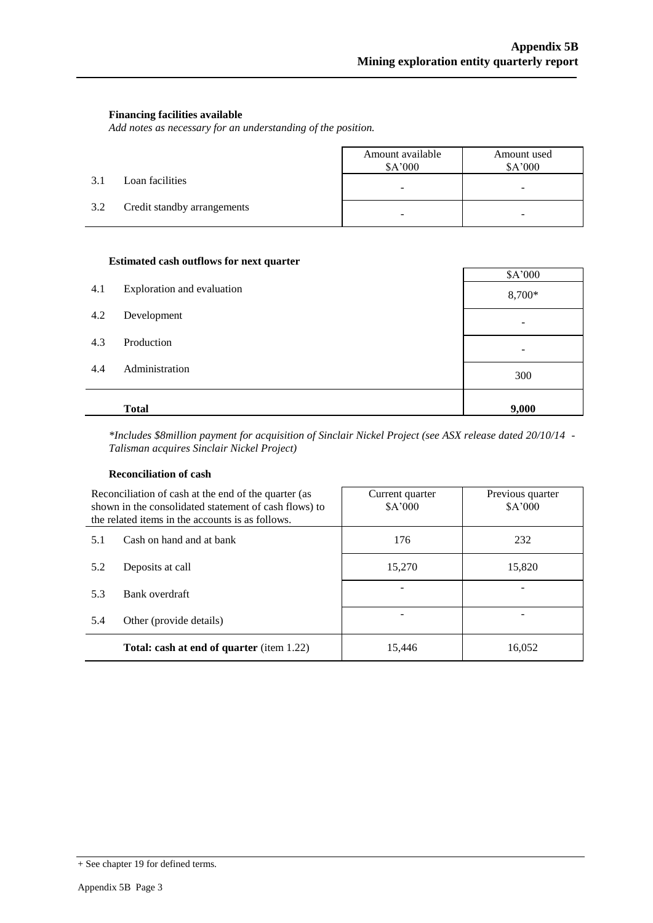#### **Financing facilities available**

*Add notes as necessary for an understanding of the position.*

|     |                             | Amount available<br>\$A'000 | Amount used<br>\$A'000   |
|-----|-----------------------------|-----------------------------|--------------------------|
| 3.1 | Loan facilities             | $\overline{\phantom{0}}$    | $\overline{\phantom{a}}$ |
| 3.2 | Credit standby arrangements | -                           | -                        |

#### **Estimated cash outflows for next quarter**

|     |                            | \$A'000 |
|-----|----------------------------|---------|
| 4.1 | Exploration and evaluation | 8,700*  |
| 4.2 | Development                | ۰       |
| 4.3 | Production                 | ۰       |
| 4.4 | Administration             | 300     |
|     | <b>Total</b>               | 9,000   |

*\*Includes \$8million payment for acquisition of Sinclair Nickel Project (see ASX release dated 20/10/14 - Talisman acquires Sinclair Nickel Project)*

#### **Reconciliation of cash**

| Reconciliation of cash at the end of the quarter (as<br>shown in the consolidated statement of cash flows) to<br>the related items in the accounts is as follows. |                                                  | Current quarter<br>\$A'000 | Previous quarter<br>\$A'000 |  |
|-------------------------------------------------------------------------------------------------------------------------------------------------------------------|--------------------------------------------------|----------------------------|-----------------------------|--|
| 5.1                                                                                                                                                               | Cash on hand and at bank                         | 176                        | 232                         |  |
| 5.2                                                                                                                                                               | Deposits at call                                 | 15,270                     | 15,820                      |  |
| 5.3                                                                                                                                                               | Bank overdraft                                   |                            |                             |  |
| 5.4                                                                                                                                                               | Other (provide details)                          |                            |                             |  |
|                                                                                                                                                                   | <b>Total: cash at end of quarter</b> (item 1.22) | 15.446                     | 16,052                      |  |

<sup>+</sup> See chapter 19 for defined terms.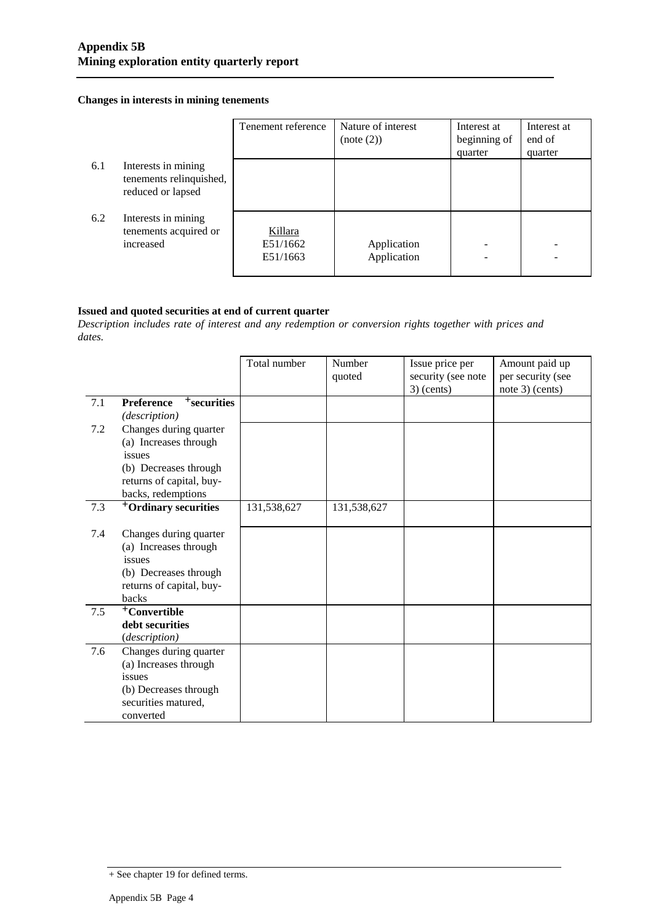#### **Changes in interests in mining tenements**

|     |                                                                     | Tenement reference              | Nature of interest<br>(note (2)) | Interest at<br>beginning of<br>quarter | Interest at<br>end of<br>quarter |
|-----|---------------------------------------------------------------------|---------------------------------|----------------------------------|----------------------------------------|----------------------------------|
| 6.1 | Interests in mining<br>tenements relinquished,<br>reduced or lapsed |                                 |                                  |                                        |                                  |
| 6.2 | Interests in mining<br>tenements acquired or<br>increased           | Killara<br>E51/1662<br>E51/1663 | Application<br>Application       |                                        |                                  |

#### **Issued and quoted securities at end of current quarter**

*Description includes rate of interest and any redemption or conversion rights together with prices and dates.*

|     |                                                      | Total number | Number<br>quoted | Issue price per<br>security (see note<br>$3)$ (cents) | Amount paid up<br>per security (see<br>note 3) (cents) |
|-----|------------------------------------------------------|--------------|------------------|-------------------------------------------------------|--------------------------------------------------------|
| 7.1 | $+$ securities<br><b>Preference</b><br>(description) |              |                  |                                                       |                                                        |
| 7.2 | Changes during quarter                               |              |                  |                                                       |                                                        |
|     | (a) Increases through                                |              |                  |                                                       |                                                        |
|     | issues                                               |              |                  |                                                       |                                                        |
|     | (b) Decreases through                                |              |                  |                                                       |                                                        |
|     | returns of capital, buy-                             |              |                  |                                                       |                                                        |
|     | backs, redemptions                                   |              |                  |                                                       |                                                        |
| 7.3 | <sup>+</sup> Ordinary securities                     | 131,538,627  | 131,538,627      |                                                       |                                                        |
|     |                                                      |              |                  |                                                       |                                                        |
| 7.4 | Changes during quarter<br>(a) Increases through      |              |                  |                                                       |                                                        |
|     | issues                                               |              |                  |                                                       |                                                        |
|     | (b) Decreases through                                |              |                  |                                                       |                                                        |
|     | returns of capital, buy-                             |              |                  |                                                       |                                                        |
|     | backs                                                |              |                  |                                                       |                                                        |
| 7.5 | +Convertible                                         |              |                  |                                                       |                                                        |
|     | debt securities                                      |              |                  |                                                       |                                                        |
|     | (description)                                        |              |                  |                                                       |                                                        |
| 7.6 | Changes during quarter                               |              |                  |                                                       |                                                        |
|     | (a) Increases through                                |              |                  |                                                       |                                                        |
|     | issues                                               |              |                  |                                                       |                                                        |
|     | (b) Decreases through                                |              |                  |                                                       |                                                        |
|     | securities matured,                                  |              |                  |                                                       |                                                        |
|     | converted                                            |              |                  |                                                       |                                                        |

<sup>+</sup> See chapter 19 for defined terms.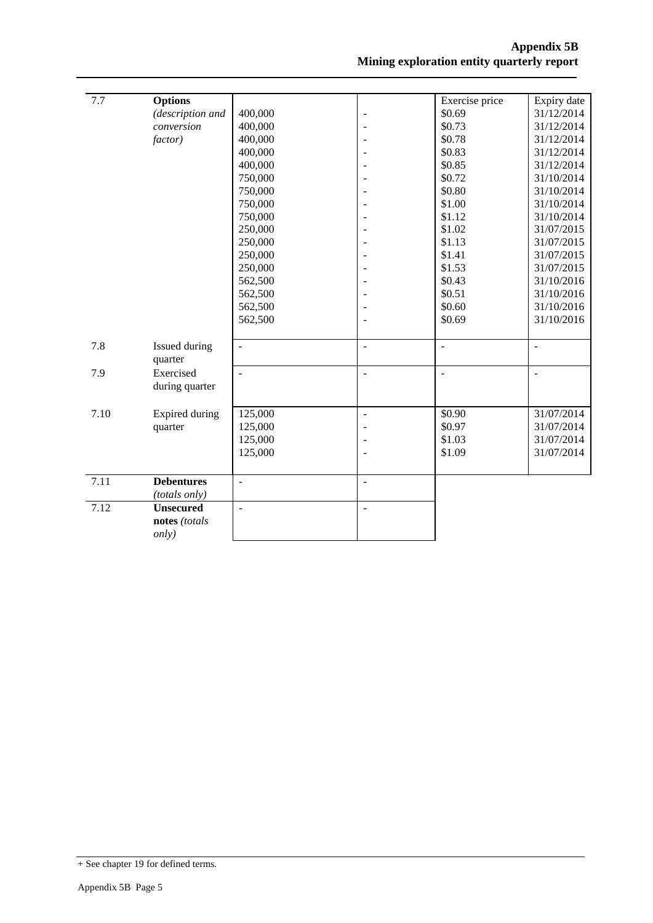| 7.7  | <b>Options</b>    |                |                | Exercise price | Expiry date    |
|------|-------------------|----------------|----------------|----------------|----------------|
|      | (description and  | 400,000        | $\overline{a}$ | \$0.69         | 31/12/2014     |
|      | conversion        | 400,000        |                | \$0.73         | 31/12/2014     |
|      | <i>factor</i> )   | 400,000        |                | \$0.78         | 31/12/2014     |
|      |                   | 400,000        |                | \$0.83         | 31/12/2014     |
|      |                   | 400,000        |                | \$0.85         | 31/12/2014     |
|      |                   | 750,000        |                | \$0.72         | 31/10/2014     |
|      |                   | 750,000        |                | \$0.80         | 31/10/2014     |
|      |                   | 750,000        |                | \$1.00         | 31/10/2014     |
|      |                   | 750,000        |                | \$1.12         | 31/10/2014     |
|      |                   | 250,000        |                | \$1.02         | 31/07/2015     |
|      |                   | 250,000        |                | \$1.13         | 31/07/2015     |
|      |                   | 250,000        |                | \$1.41         | 31/07/2015     |
|      |                   | 250,000        |                | \$1.53         | 31/07/2015     |
|      |                   | 562,500        |                | \$0.43         | 31/10/2016     |
|      |                   | 562,500        |                | \$0.51         | 31/10/2016     |
|      |                   | 562,500        |                | \$0.60         | 31/10/2016     |
|      |                   | 562,500        |                | \$0.69         | 31/10/2016     |
|      |                   |                |                |                |                |
| 7.8  | Issued during     | $\overline{a}$ | $\overline{a}$ | ÷,             | $\overline{a}$ |
|      | quarter           |                |                |                |                |
| 7.9  | Exercised         | $\sim$         | ÷,             | $\overline{a}$ | $\overline{a}$ |
|      | during quarter    |                |                |                |                |
|      |                   |                |                |                |                |
| 7.10 | Expired during    | 125,000        | $\overline{a}$ | \$0.90         | 31/07/2014     |
|      | quarter           | 125,000        |                | \$0.97         | 31/07/2014     |
|      |                   | 125,000        |                | \$1.03         | 31/07/2014     |
|      |                   | 125,000        |                | \$1.09         | 31/07/2014     |
|      |                   |                |                |                |                |
| 7.11 | <b>Debentures</b> | $\frac{1}{2}$  | $\overline{a}$ |                |                |
|      | (totals only)     |                |                |                |                |
| 7.12 | <b>Unsecured</b>  | $\overline{a}$ | $\overline{a}$ |                |                |
|      | notes (totals     |                |                |                |                |
|      | only)             |                |                |                |                |
|      |                   |                |                |                |                |

<sup>+</sup> See chapter 19 for defined terms.